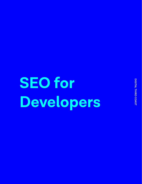**SEO for Developers**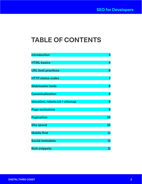# **TABLE OF CONTENTS**

| <b>Introduction</b><br><b>HTML basics</b><br><b>URL best practices</b><br><b>HTTP status codes</b> | 3<br>4<br>6<br>7 |                                 |   |
|----------------------------------------------------------------------------------------------------|------------------|---------------------------------|---|
|                                                                                                    |                  | <b>Webmaster tools</b>          | 8 |
|                                                                                                    |                  | <b>Canonicalization</b>         | 8 |
|                                                                                                    |                  | Idexation, robots.txt + sitemap | 9 |
| <b>Page exclusions</b>                                                                             | 9                |                                 |   |
| <b>Pagination</b>                                                                                  | 10               |                                 |   |
| <b>Site speed</b>                                                                                  | 10               |                                 |   |
| <b>Mobile first</b>                                                                                | 11               |                                 |   |
| Social metadata                                                                                    | 11               |                                 |   |
| <b>Rich snippets</b>                                                                               | 11               |                                 |   |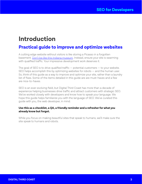## **Introduction**

### **Practical guide to improve and optimize websites**

A cutting edge website without visitors is like storing a Picasso in a forgotten basement. [Don't be like this Indiana museum.](http://www.nytimes.com/2012/09/13/arts/design/forgotten-picasso-is-windfall-for-evansville-museum.html) Instead, ensure your site is swarming with qualified traffic. Your impressive development work deserves it.

The goal of SEO is to drive qualified traffic  $-$  potential customers  $-$  to your website. SEO helps accomplish this by optimizing websites for robots — and the human user. So, think of this guide as a way to improve and optimize your site, rather than a laundry list of fixes. Some of the items detailed in this guide are are must-haves and a few are nice-to-haves.

SEO is an ever-evolving field, but Digital Third Coast has more than a decade of experience helping businesses drive traffic and attract customers with strategic SEO. We've worked closely with developers and know how to speak your language. We hope this guide helps familiarize you with the language of SEO. We've curated this guide with you, the web developer, in mind.

#### **Use this as a checklist, a QA, a friendly reminder and a refresher for what you already know but forgot.**

While you focus on making beautiful sites that speak to humans, we'll make sure the site speak to humans and robots.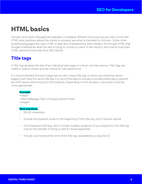# **HTML basics**

Humans and robots (Google) see websites completely different. But ensuring your site is built with HTML best practices allows the robots to properly see what is intended for humans. Unlike other scripting languages like Java, HTML is read and understood by web crawlers. It's through HTML that Google understands what the site is trying to convey to users. In this section, let's look at important HTML elements that help drive SEO results.

### **Title tags**

A Title Tag declares the title of an individual web page in a short, concise manner. Title Tags are visible in search results and are critical for user experience.

It is recommended that each page has its own unique title tag. In some rare instances where pages must have the same title tag, it is recommended to include a noindex,follow tag to prevent any SEO issues stemming from this duplicity. Depending on the situation, canonicals could be more appropriate.

#### **Example**

<head> <title>Webpage Title | Company Name</title> </head>

#### **Best practices**

- 55-60 characters
- Include the keyword closer to the beginning of the title, but only if sounds natural
- Don't keyword stuff (e.g., don't include multiple variations of your keyword in the title tag only for the benefit of trying to rank for those keywords)
- Include your brand at the end of the title tag, separated by a pipe bar (|)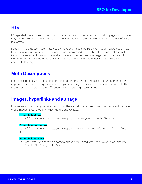### **H1s**

H1 tags alert the engines to the most important words on the page. Each landing page should have only one H1 attribute. The H1 should include a relevant keyword, as it's one of the key areas of "SEO real estate."

Keep in mind that every user  $-$  as well as the robot  $-$  sees the H1 on your page, regardless of how they arrive to your website. For this reason, we recommend writing the H1 for users first and only including a keyword if it sounds natural and relevant. Some sites have pages with duplicate H1 elements. In these cases, either the H1 should be re-written or the pages should include a noindex,follow tag.

### **Meta Descriptions**

Meta descriptions, while not a direct ranking factor for SEO, help increase click-through rates and improve the overall user experience for people searching for your site. They provide context to the search results and can be the difference between earning a click or not.

### **Images, hyperlinks and alt tags**

Images are crucial to any website design. But there's just one problem: Web crawlers can't decipher those images. Enter proper HTML structure and Alt Tags.

#### **Example text link**

<a href="https://www.example.com/webpage.html">Keyword in AnchorText</a>

#### **Example nofollow link**

<a href="https://www.example.com/webpage.html"rel="nofollow">Keyword in Anchor Text</ a>

#### **Example image link**

<a href="https://www.example.com/webpage.html"><img src="/img/keyword.jpg" alt="keyword" width="100" height="100"></a>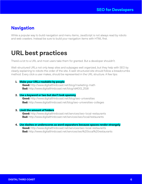### **Navigation**

While a popular way to build navigation and menu items, JavaScript is not always read by robots and web crawlers. Instead be sure to build your navigation items with HTML first.

# **URL best practices**

There's a lot to a URL and most users take them for granted. But a developer shouldn't.

Well-structured URLs not only keep sites and subpages well organized, but they help with SEO by clearly explaining to robots the order of the site. A well-structured site should follow a breadcrumbs method. Every click a user makes, should be represented in the URL structure. A few tips:

**1. Make your URLs readable by people Good:** http://www.digitalthirdcoast.net/blog/marketing-math **Bad:** http://www.digitalthirdcoast.net/blog/id4001\_2518

#### **2. Use a keyword or two but don't look spammy**

**Good:** http://www.digitalthirdcoast.net/blog/seo-universities **Bad:** http://www.digitalthirdcoast.net/blog/seo-universities-colleges

#### **3. Limit the amount of folders**

**Good:** http://www.digitalthirdcoast.net/services/seo-local-restaurants **Bad:** http://www.digitalthirdcoast.net/services/seo/local/restaurants

**4. Use dashes or underscores as word separators because spaces render strangely Good:** http://www.digitalthirdcoast.net/services/seo-local-restaurants **Bad:** http://www.digitalthirdcoast.net/services/seo%20local%20restaurants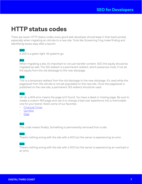## **HTTP status codes**

There are seven HTTP status codes every good web developer should keep in their back pocket, especially when migrating an old site to a new site. Tools like Screaming Frog make finding and identifying issues easy after a launch.

#### **200**

A 200 is a green light. All systems go.

#### **301**

When migrating a site, it's important to not just transfer content. SEO link equity should be migrated as well. The 301 redirect is a permanent redirect, which preserves most, if not all, link equity from the old site/page to the new site/page.

#### **302**

This is a temporary redirect from the old site/page to the new site/page. It's used while the page/post from the old site is not yet populated on the new site. Once the page/post is published on the new site, a permanent 301 redirect should be used.

#### **404**

Uh oh, a 404 error means the page isn't found. You have a dead or missing page. Be sure to create a custom 404 page and use it to change a bad user experience into a memorable one for your brand. Here's some of our favorites:

- [Financial Times](https://www.ft.com/markets/404)
- [GymBox](https://gymbox.com/404)
- [Pixar](https://www.pixar.com/404)

#### **410**

This code means finality. Something is permanently removed from a site.

#### **500**

There's nothing wrong with the site with a 500 but the server is experiencing an error.

#### **503**

There's nothing wrong with the site with a 500 but the server is experiencing an overload or an error.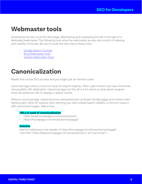## **Webmaster tools**

Developing the site is just the first stage. Maintaining and overseeing the site is the task of a dedicated webmaster. The following tools allow the webmaster access and control of indexing and visibility of the site. Be sure to push the site map to these tools.

- [Google Search Console](https://www.google.com/webmasters/tools/home)
- [Bing Webmaster Tools](https://www.bing.com/toolbox/webmaster)
- [Yandex Webmaster Tools](https://webmaster.yandex.com/)

# **Canonicalization**

Master this crucial SEO process and you might just be named a saint.

Canonical tags solves a common issue for search engines: Often, web content can have more than one possible URL destination. Canonical tags sort this all out for robots so that search engines know the preferred URL to display in search results.

Without canonical tags, robots become overworked and confused. Similar pages and content start fighting each other for superior rank, harming your site's overall search visibility. A common issue is with ecommerce pages. Take a look:.

#### **URLs in need of canonicalization**

- https://www.homepage.com/shoes/women/
- https://homepage.com/shoes/women/page2

#### **Solution**

Add the following to the header of https://homepage.com/shoes/women/page2: <link href="https://www.homepage.com/shoes/women/" rel="canonical"/>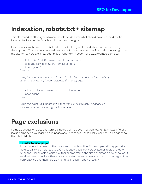## **Indexation, robots.txt + sitemap**

This file (found at https://yoursite.com/robots.txt) declares what should be and should not be included for indexing by Google and other search engines.

Developers sometimes use a robots.txt to block all pages of the site from indexation during development. This is an encouraged practice but it is imperative to edit and allow indexing once the site is live. Here are a few examples of robots.txt in action for a www.example.com site:

Robots.txt file URL: www.example.com/robots.txt Blocking all web crawlers from all content User-agent: \* Disallow: /

*Using this syntax in a robots.txt file would tell all web crawlers not to crawl any pages on www.example.com, including the homepage.*

Allowing all web crawlers access to all content User-agent: \* Disallow:

*Using this syntax in a robots.txt file tells web crawlers to crawl all pages on www.example.com, including the homepage.*

## **Page exclusions**

Some webpages on a site shouldn't be indexed or included in search results. Examples of these include privacy policy, legal, sign-in pages and user pages. These exclusions should be added to the robots txt file.

#### **No index for user pages**

A user page is the result of that user's own on-site action. For example, let's say your site features a News & Insights page. On this page, users can sort by author, topic and date. When the user selects a certain author or time frame, the site generates a new page result. We don't want to include these user-generated pages, so we attach a no index tag so they aren't crawled and therefore won't end up in search engine results.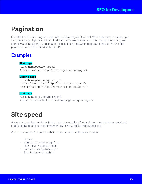# **Pagination**

Does that can't-miss blog post run onto multiple pages? Don't fret. With some simple markup, you can prevent any duplicate content that pagination may cause. With this markup, search engines correctly and intelligently understand the relationship between pages and ensure that the first page is the one that's found in the SERPs.

### **Examples**

#### **First page**

https://homepage.com/post1 <link rel="next"href="https://homepage.com/post?pg=2">

#### **Second page**

https://homepage.com/post?pg=2 <link rel="previous"href="https://homepage.com/post1"> <link rel="next"href="https://homepage.com/post?pg=3">

#### **Last page**

https://homepage.com/post?pg=3 <link rel="previous" href="https://homepage.com/post?pg=2">

## **Site speed**

Google uses desktop and mobile site speed as a ranking factor. You can test your site speed and find recommendations for improvement by using Google's PageSpeed Tool.

Common causes of page bloat that leads to slower load speeds include:

- Redirects
- Non-compressed image files
- Slow server response times
- Render-blocking JavaScript
- Blocking browser caching